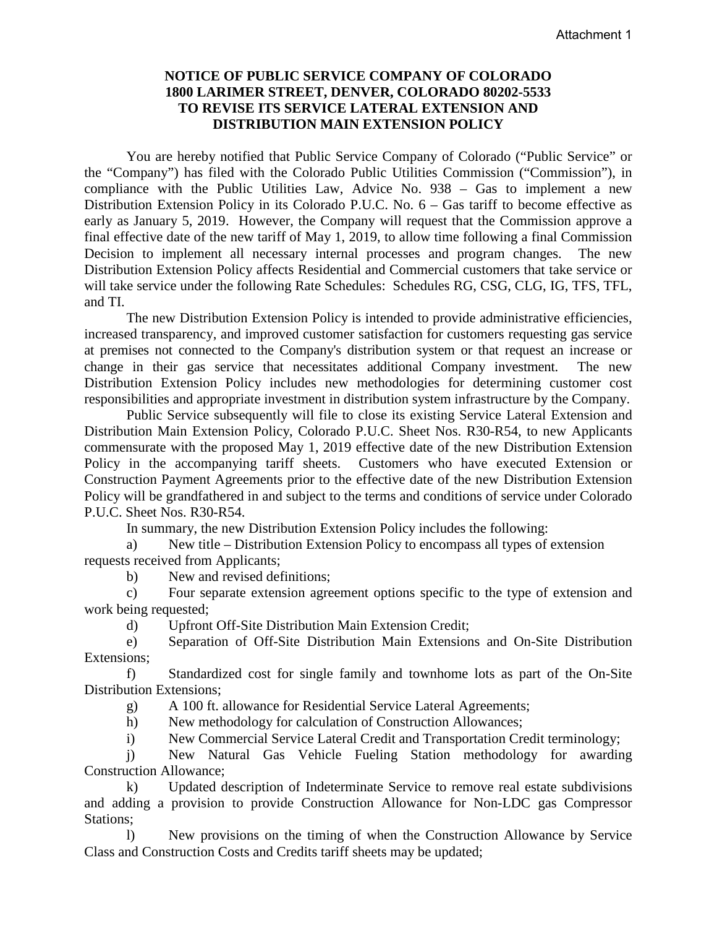## **NOTICE OF PUBLIC SERVICE COMPANY OF COLORADO 1800 LARIMER STREET, DENVER, COLORADO 80202-5533 TO REVISE ITS SERVICE LATERAL EXTENSION AND DISTRIBUTION MAIN EXTENSION POLICY**

You are hereby notified that Public Service Company of Colorado ("Public Service" or the "Company") has filed with the Colorado Public Utilities Commission ("Commission"), in compliance with the Public Utilities Law, Advice No. 938 – Gas to implement a new Distribution Extension Policy in its Colorado P.U.C. No. 6 – Gas tariff to become effective as early as January 5, 2019. However, the Company will request that the Commission approve a final effective date of the new tariff of May 1, 2019, to allow time following a final Commission Decision to implement all necessary internal processes and program changes. The new Distribution Extension Policy affects Residential and Commercial customers that take service or will take service under the following Rate Schedules: Schedules RG, CSG, CLG, IG, TFS, TFL, and TI.

The new Distribution Extension Policy is intended to provide administrative efficiencies, increased transparency, and improved customer satisfaction for customers requesting gas service at premises not connected to the Company's distribution system or that request an increase or change in their gas service that necessitates additional Company investment. The new Distribution Extension Policy includes new methodologies for determining customer cost responsibilities and appropriate investment in distribution system infrastructure by the Company.

Public Service subsequently will file to close its existing Service Lateral Extension and Distribution Main Extension Policy, Colorado P.U.C. Sheet Nos. R30-R54, to new Applicants commensurate with the proposed May 1, 2019 effective date of the new Distribution Extension Policy in the accompanying tariff sheets. Customers who have executed Extension or Construction Payment Agreements prior to the effective date of the new Distribution Extension Policy will be grandfathered in and subject to the terms and conditions of service under Colorado P.U.C. Sheet Nos. R30-R54.

In summary, the new Distribution Extension Policy includes the following:

a) New title – Distribution Extension Policy to encompass all types of extension requests received from Applicants;

b) New and revised definitions;

c) Four separate extension agreement options specific to the type of extension and work being requested;

d) Upfront Off-Site Distribution Main Extension Credit;

e) Separation of Off-Site Distribution Main Extensions and On-Site Distribution Extensions;

f) Standardized cost for single family and townhome lots as part of the On-Site Distribution Extensions;

g) A 100 ft. allowance for Residential Service Lateral Agreements;

h) New methodology for calculation of Construction Allowances;

i) New Commercial Service Lateral Credit and Transportation Credit terminology;

j) New Natural Gas Vehicle Fueling Station methodology for awarding Construction Allowance;

 k) Updated description of Indeterminate Service to remove real estate subdivisions and adding a provision to provide Construction Allowance for Non-LDC gas Compressor Stations;

 l) New provisions on the timing of when the Construction Allowance by Service Class and Construction Costs and Credits tariff sheets may be updated;